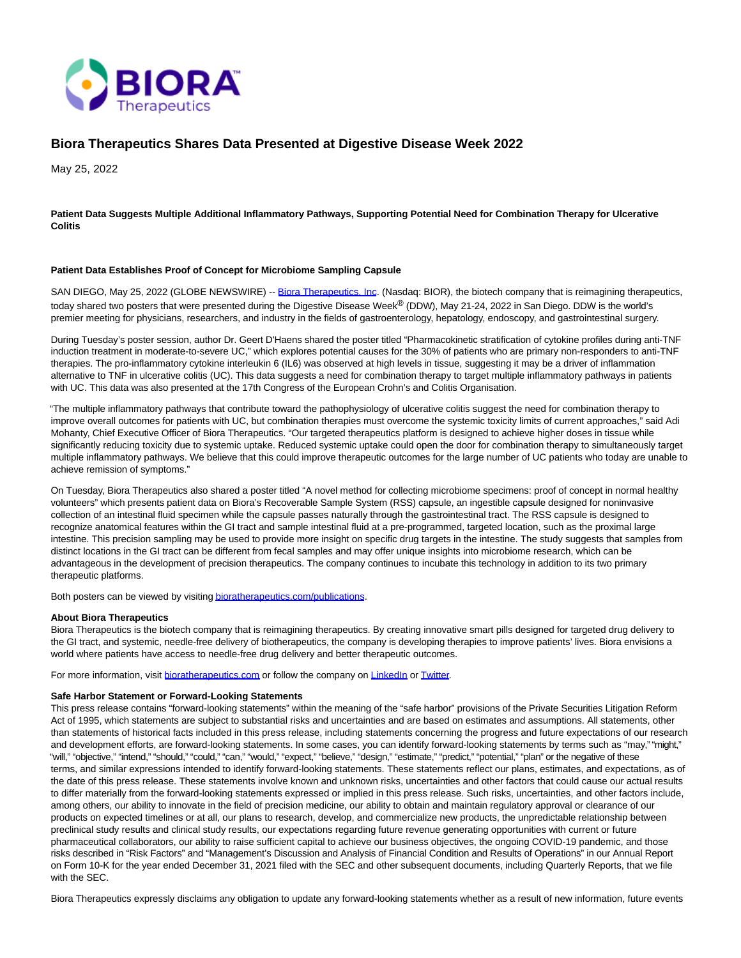

# **Biora Therapeutics Shares Data Presented at Digestive Disease Week 2022**

May 25, 2022

### **Patient Data Suggests Multiple Additional Inflammatory Pathways, Supporting Potential Need for Combination Therapy for Ulcerative Colitis**

#### **Patient Data Establishes Proof of Concept for Microbiome Sampling Capsule**

SAN DIEGO, May 25, 2022 (GLOBE NEWSWIRE) -- [Biora Therapeutics, Inc.](https://www.globenewswire.com/Tracker?data=NKURi6jC7c5lCx8wymkEcrocpOedcRvy8ARX9Y97fLbSphjVUoD2fDQcN_VCXy6s5qo78rsuGsYR6Ps9C956Y66FKM2YnuceZDmcmZTvVwA=) (Nasdaq: BIOR), the biotech company that is reimagining therapeutics, today shared two posters that were presented during the Digestive Disease Week® (DDW), May 21-24, 2022 in San Diego. DDW is the world's premier meeting for physicians, researchers, and industry in the fields of gastroenterology, hepatology, endoscopy, and gastrointestinal surgery.

During Tuesday's poster session, author Dr. Geert D'Haens shared the poster titled "Pharmacokinetic stratification of cytokine profiles during anti-TNF induction treatment in moderate-to-severe UC," which explores potential causes for the 30% of patients who are primary non-responders to anti-TNF therapies. The pro-inflammatory cytokine interleukin 6 (IL6) was observed at high levels in tissue, suggesting it may be a driver of inflammation alternative to TNF in ulcerative colitis (UC). This data suggests a need for combination therapy to target multiple inflammatory pathways in patients with UC. This data was also presented at the 17th Congress of the European Crohn's and Colitis Organisation.

"The multiple inflammatory pathways that contribute toward the pathophysiology of ulcerative colitis suggest the need for combination therapy to improve overall outcomes for patients with UC, but combination therapies must overcome the systemic toxicity limits of current approaches," said Adi Mohanty, Chief Executive Officer of Biora Therapeutics. "Our targeted therapeutics platform is designed to achieve higher doses in tissue while significantly reducing toxicity due to systemic uptake. Reduced systemic uptake could open the door for combination therapy to simultaneously target multiple inflammatory pathways. We believe that this could improve therapeutic outcomes for the large number of UC patients who today are unable to achieve remission of symptoms."

On Tuesday, Biora Therapeutics also shared a poster titled "A novel method for collecting microbiome specimens: proof of concept in normal healthy volunteers" which presents patient data on Biora's Recoverable Sample System (RSS) capsule, an ingestible capsule designed for noninvasive collection of an intestinal fluid specimen while the capsule passes naturally through the gastrointestinal tract. The RSS capsule is designed to recognize anatomical features within the GI tract and sample intestinal fluid at a pre-programmed, targeted location, such as the proximal large intestine. This precision sampling may be used to provide more insight on specific drug targets in the intestine. The study suggests that samples from distinct locations in the GI tract can be different from fecal samples and may offer unique insights into microbiome research, which can be advantageous in the development of precision therapeutics. The company continues to incubate this technology in addition to its two primary therapeutic platforms.

Both posters can be viewed by visitin[g bioratherapeutics.com/publications.](https://www.globenewswire.com/Tracker?data=jhU7fj0lXfo7xkUORHufCivLo0fhbsqbAS_q_av-65f-ofDEqX8X2GZYOJG4em9ZIpHvOcJUC4l9WpUqETR9edBJBUXm-s1OmqNwWNRhB_qoh74QwRvuJLvhxle56Qo8_dMn8EPN0kHrINVZCUw0Bw==)

#### **About Biora Therapeutics**

Biora Therapeutics is the biotech company that is reimagining therapeutics. By creating innovative smart pills designed for targeted drug delivery to the GI tract, and systemic, needle-free delivery of biotherapeutics, the company is developing therapies to improve patients' lives. Biora envisions a world where patients have access to needle-free drug delivery and better therapeutic outcomes.

For more information, visit [bioratherapeutics.com o](https://www.globenewswire.com/Tracker?data=jhU7fj0lXfo7xkUORHufCgat47CyGdV7nDtgIAYNFzisHq-TY3kNV0Ip0t4yCRmlf8Rxg-ZJdmIEMlKy0FjcwtcGwZB0dTyDjcyJbFWubCk=)r follow the company on [LinkedIn o](https://www.globenewswire.com/Tracker?data=Y1JWvcHEBAumVQ29rmacErI3u5qP8ztIWJu4gVX0UcyASoKUGwBHzriHArr60li21MX7gC91hCPPgDHc9GOVz7n3i2Yc1lgI0dPr8PksElmnQorW_AiQ1ddTl3im_b9i)r [Twitter.](https://www.globenewswire.com/Tracker?data=4QIBnGrDkgyxiqo9Pf14rqod9sa3652E74k8FiQdzvTuF_-_dJUVuMykwhNEFM8ZzaH5xcICO2aKpoPI2ed_eA==)

#### **Safe Harbor Statement or Forward-Looking Statements**

This press release contains "forward-looking statements" within the meaning of the "safe harbor" provisions of the Private Securities Litigation Reform Act of 1995, which statements are subject to substantial risks and uncertainties and are based on estimates and assumptions. All statements, other than statements of historical facts included in this press release, including statements concerning the progress and future expectations of our research and development efforts, are forward-looking statements. In some cases, you can identify forward-looking statements by terms such as "may," "might," "will," "objective," "intend," "should," "could," "can," "would," "expect," "believe," "design," "estimate," "predict," "potential," "plan" or the negative of these terms, and similar expressions intended to identify forward-looking statements. These statements reflect our plans, estimates, and expectations, as of the date of this press release. These statements involve known and unknown risks, uncertainties and other factors that could cause our actual results to differ materially from the forward-looking statements expressed or implied in this press release. Such risks, uncertainties, and other factors include, among others, our ability to innovate in the field of precision medicine, our ability to obtain and maintain regulatory approval or clearance of our products on expected timelines or at all, our plans to research, develop, and commercialize new products, the unpredictable relationship between preclinical study results and clinical study results, our expectations regarding future revenue generating opportunities with current or future pharmaceutical collaborators, our ability to raise sufficient capital to achieve our business objectives, the ongoing COVID-19 pandemic, and those risks described in "Risk Factors" and "Management's Discussion and Analysis of Financial Condition and Results of Operations" in our Annual Report on Form 10-K for the year ended December 31, 2021 filed with the SEC and other subsequent documents, including Quarterly Reports, that we file with the SEC.

Biora Therapeutics expressly disclaims any obligation to update any forward-looking statements whether as a result of new information, future events